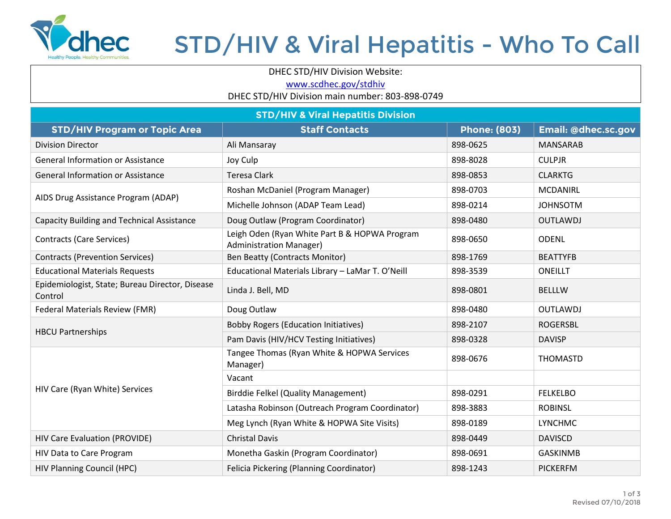

## STD/HIV & Viral Hepatitis - Who To Call

DHEC STD/HIV Division Website:

[www.scdhec.gov/stdhiv](http://www.scdhec.gov/stdhiv)

DHEC STD/HIV Division main number: 803-898-0749

| <b>STD/HIV &amp; Viral Hepatitis Division</b>              |                                                                                 |                     |                     |  |  |
|------------------------------------------------------------|---------------------------------------------------------------------------------|---------------------|---------------------|--|--|
| <b>STD/HIV Program or Topic Area</b>                       | <b>Staff Contacts</b>                                                           | <b>Phone: (803)</b> | Email: @dhec.sc.gov |  |  |
| <b>Division Director</b>                                   | Ali Mansaray                                                                    | 898-0625            | <b>MANSARAB</b>     |  |  |
| <b>General Information or Assistance</b>                   | Joy Culp                                                                        | 898-8028            | <b>CULPJR</b>       |  |  |
| <b>General Information or Assistance</b>                   | <b>Teresa Clark</b>                                                             | 898-0853            | <b>CLARKTG</b>      |  |  |
| AIDS Drug Assistance Program (ADAP)                        | Roshan McDaniel (Program Manager)                                               | 898-0703            | <b>MCDANIRL</b>     |  |  |
|                                                            | Michelle Johnson (ADAP Team Lead)                                               | 898-0214            | <b>JOHNSOTM</b>     |  |  |
| <b>Capacity Building and Technical Assistance</b>          | Doug Outlaw (Program Coordinator)                                               | 898-0480            | <b>OUTLAWDJ</b>     |  |  |
| <b>Contracts (Care Services)</b>                           | Leigh Oden (Ryan White Part B & HOPWA Program<br><b>Administration Manager)</b> | 898-0650            | <b>ODENL</b>        |  |  |
| <b>Contracts (Prevention Services)</b>                     | <b>Ben Beatty (Contracts Monitor)</b>                                           | 898-1769            | <b>BEATTYFB</b>     |  |  |
| <b>Educational Materials Requests</b>                      | Educational Materials Library - LaMar T. O'Neill                                | 898-3539            | <b>ONEILLT</b>      |  |  |
| Epidemiologist, State; Bureau Director, Disease<br>Control | Linda J. Bell, MD                                                               | 898-0801            | <b>BELLLW</b>       |  |  |
| Federal Materials Review (FMR)                             | Doug Outlaw                                                                     | 898-0480            | <b>OUTLAWDJ</b>     |  |  |
| <b>HBCU Partnerships</b>                                   | <b>Bobby Rogers (Education Initiatives)</b>                                     | 898-2107            | <b>ROGERSBL</b>     |  |  |
|                                                            | Pam Davis (HIV/HCV Testing Initiatives)                                         | 898-0328            | <b>DAVISP</b>       |  |  |
| HIV Care (Ryan White) Services                             | Tangee Thomas (Ryan White & HOPWA Services<br>Manager)                          | 898-0676            | <b>THOMASTD</b>     |  |  |
|                                                            | Vacant                                                                          |                     |                     |  |  |
|                                                            | <b>Birddie Felkel (Quality Management)</b>                                      | 898-0291            | <b>FELKELBO</b>     |  |  |
|                                                            | Latasha Robinson (Outreach Program Coordinator)                                 | 898-3883            | <b>ROBINSL</b>      |  |  |
|                                                            | Meg Lynch (Ryan White & HOPWA Site Visits)                                      | 898-0189            | <b>LYNCHMC</b>      |  |  |
| HIV Care Evaluation (PROVIDE)                              | <b>Christal Davis</b>                                                           | 898-0449            | <b>DAVISCD</b>      |  |  |
| HIV Data to Care Program                                   | Monetha Gaskin (Program Coordinator)                                            | 898-0691            | <b>GASKINMB</b>     |  |  |
| <b>HIV Planning Council (HPC)</b>                          | Felicia Pickering (Planning Coordinator)                                        | 898-1243            | <b>PICKERFM</b>     |  |  |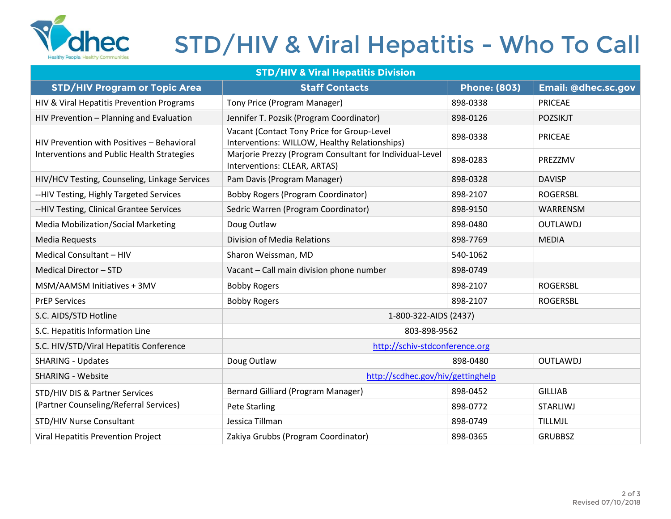

## STD/HIV & Viral Hepatitis - Who To Call

| <b>STD/HIV &amp; Viral Hepatitis Division</b>                                            |                                                                                             |                     |                     |  |  |  |
|------------------------------------------------------------------------------------------|---------------------------------------------------------------------------------------------|---------------------|---------------------|--|--|--|
| <b>STD/HIV Program or Topic Area</b>                                                     | <b>Staff Contacts</b>                                                                       | <b>Phone: (803)</b> | Email: @dhec.sc.gov |  |  |  |
| HIV & Viral Hepatitis Prevention Programs                                                | Tony Price (Program Manager)                                                                | 898-0338            | <b>PRICEAE</b>      |  |  |  |
| HIV Prevention - Planning and Evaluation                                                 | Jennifer T. Pozsik (Program Coordinator)                                                    | 898-0126            | <b>POZSIKJT</b>     |  |  |  |
| HIV Prevention with Positives - Behavioral<br>Interventions and Public Health Strategies | Vacant (Contact Tony Price for Group-Level<br>Interventions: WILLOW, Healthy Relationships) | 898-0338            | <b>PRICEAE</b>      |  |  |  |
|                                                                                          | Marjorie Prezzy (Program Consultant for Individual-Level<br>Interventions: CLEAR, ARTAS)    | 898-0283            | PREZZMV             |  |  |  |
| HIV/HCV Testing, Counseling, Linkage Services                                            | Pam Davis (Program Manager)                                                                 | 898-0328            | <b>DAVISP</b>       |  |  |  |
| --HIV Testing, Highly Targeted Services                                                  | <b>Bobby Rogers (Program Coordinator)</b>                                                   | 898-2107            | <b>ROGERSBL</b>     |  |  |  |
| --HIV Testing, Clinical Grantee Services                                                 | Sedric Warren (Program Coordinator)                                                         | 898-9150            | WARRENSM            |  |  |  |
| Media Mobilization/Social Marketing                                                      | Doug Outlaw                                                                                 | 898-0480            | <b>OUTLAWDJ</b>     |  |  |  |
| Media Requests                                                                           | Division of Media Relations                                                                 | 898-7769            | <b>MEDIA</b>        |  |  |  |
| Medical Consultant - HIV                                                                 | Sharon Weissman, MD                                                                         | 540-1062            |                     |  |  |  |
| Medical Director - STD                                                                   | Vacant - Call main division phone number                                                    | 898-0749            |                     |  |  |  |
| MSM/AAMSM Initiatives + 3MV                                                              | <b>Bobby Rogers</b>                                                                         | 898-2107            | <b>ROGERSBL</b>     |  |  |  |
| <b>PrEP Services</b>                                                                     | <b>Bobby Rogers</b>                                                                         | 898-2107            | <b>ROGERSBL</b>     |  |  |  |
| S.C. AIDS/STD Hotline                                                                    | 1-800-322-AIDS (2437)                                                                       |                     |                     |  |  |  |
| S.C. Hepatitis Information Line                                                          | 803-898-9562                                                                                |                     |                     |  |  |  |
| S.C. HIV/STD/Viral Hepatitis Conference                                                  | http://schiv-stdconference.org                                                              |                     |                     |  |  |  |
| <b>SHARING - Updates</b>                                                                 | Doug Outlaw                                                                                 | 898-0480            | <b>OUTLAWDJ</b>     |  |  |  |
| <b>SHARING - Website</b>                                                                 | http://scdhec.gov/hiv/gettinghelp                                                           |                     |                     |  |  |  |
| STD/HIV DIS & Partner Services<br>(Partner Counseling/Referral Services)                 | Bernard Gilliard (Program Manager)                                                          | 898-0452            | <b>GILLIAB</b>      |  |  |  |
|                                                                                          | Pete Starling                                                                               | 898-0772            | <b>STARLIWJ</b>     |  |  |  |
| STD/HIV Nurse Consultant                                                                 | Jessica Tillman                                                                             | 898-0749            | TILLMJL             |  |  |  |
| Viral Hepatitis Prevention Project                                                       | Zakiya Grubbs (Program Coordinator)                                                         | 898-0365            | <b>GRUBBSZ</b>      |  |  |  |